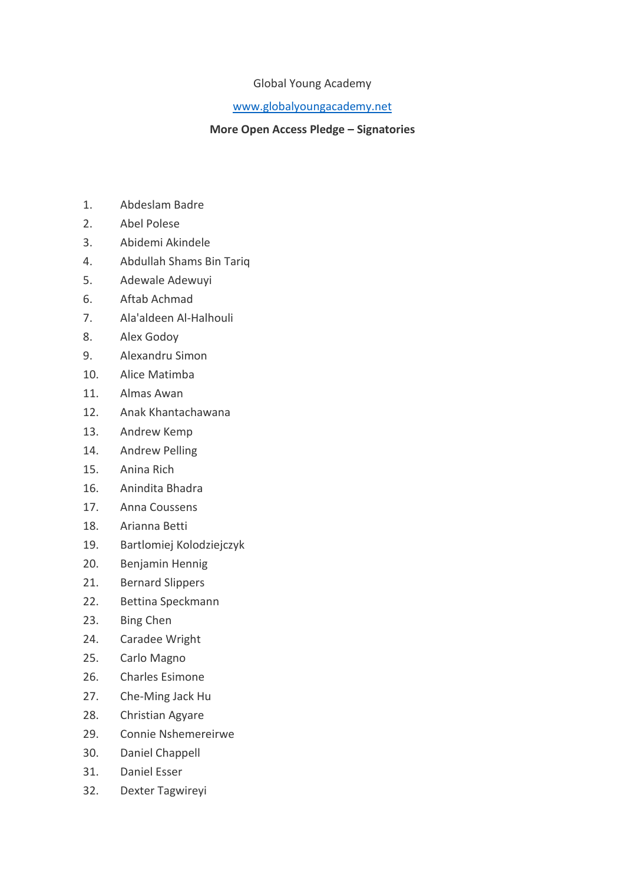## Global Young Academy

## [www.globalyoungacademy.net](http://www.globalyoungacademy.net/)

## **More Open Access Pledge – Signatories**

- 1. Abdeslam Badre
- 2. Abel Polese
- 3. Abidemi Akindele
- 4. Abdullah Shams Bin Tariq
- 5. Adewale Adewuyi
- 6. Aftab Achmad
- 7. Ala'aldeen Al-Halhouli
- 8. Alex Godoy
- 9. Alexandru Simon
- 10. Alice Matimba
- 11. Almas Awan
- 12. Anak Khantachawana
- 13. Andrew Kemp
- 14. Andrew Pelling
- 15. Anina Rich
- 16. Anindita Bhadra
- 17. Anna Coussens
- 18. Arianna Betti
- 19. Bartlomiej Kolodziejczyk
- 20. Benjamin Hennig
- 21. Bernard Slippers
- 22. Bettina Speckmann
- 23. Bing Chen
- 24. Caradee Wright
- 25. Carlo Magno
- 26. Charles Esimone
- 27. Che-Ming Jack Hu
- 28. Christian Agyare
- 29. Connie Nshemereirwe
- 30. Daniel Chappell
- 31. Daniel Esser
- 32. Dexter Tagwireyi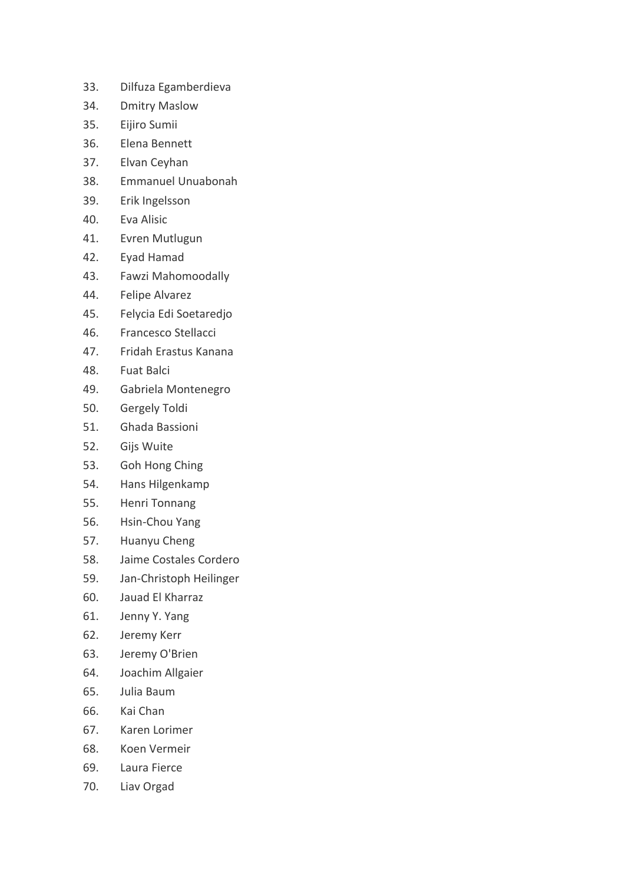- 33. Dilfuza Egamberdieva
- 34. Dmitry Maslow
- 35. Eijiro Sumii
- 36. Elena Bennett
- 37. Elvan Ceyhan
- 38. Emmanuel Unuabonah
- 39. Erik Ingelsson
- 40. Eva Alisic
- 41. Evren Mutlugun
- 42. Eyad Hamad
- 43. Fawzi Mahomoodally
- 44. Felipe Alvarez
- 45. Felycia Edi Soetaredjo
- 46. Francesco Stellacci
- 47. Fridah Erastus Kanana
- 48. Fuat Balci
- 49. Gabriela Montenegro
- 50. Gergely Toldi
- 51. Ghada Bassioni
- 52. Gijs Wuite
- 53. Goh Hong Ching
- 54. Hans Hilgenkamp
- 55. Henri Tonnang
- 56. Hsin-Chou Yang
- 57. Huanyu Cheng
- 58. Jaime Costales Cordero
- 59. Jan-Christoph Heilinger
- 60. Jauad El Kharraz
- 61. Jenny Y. Yang
- 62. Jeremy Kerr
- 63. Jeremy O'Brien
- 64. Joachim Allgaier
- 65. Julia Baum
- 66. Kai Chan
- 67. Karen Lorimer
- 68. Koen Vermeir
- 69. Laura Fierce
- 70. Liav Orgad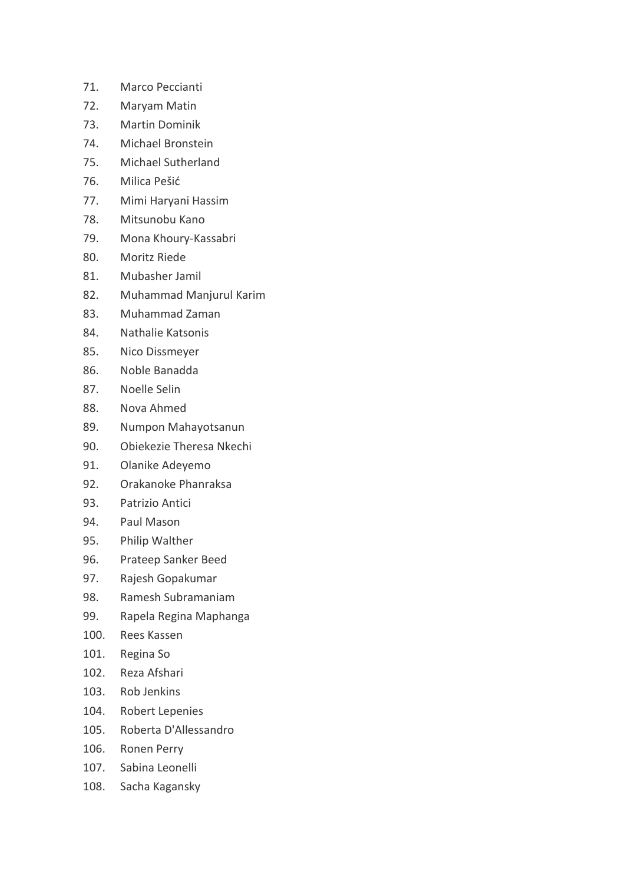- 71. Marco Peccianti
- 72. Maryam Matin
- 73. Martin Dominik
- 74. Michael Bronstein
- 75. Michael Sutherland
- 76. Milica Pešić
- 77. Mimi Haryani Hassim
- 78. Mitsunobu Kano
- 79. Mona Khoury-Kassabri
- 80. Moritz Riede
- 81. Mubasher Jamil
- 82. Muhammad Manjurul Karim
- 83. Muhammad Zaman
- 84. Nathalie Katsonis
- 85. Nico Dissmeyer
- 86. Noble Banadda
- 87. Noelle Selin
- 88. Nova Ahmed
- 89. Numpon Mahayotsanun
- 90. Obiekezie Theresa Nkechi
- 91. Olanike Adeyemo
- 92. Orakanoke Phanraksa
- 93. Patrizio Antici
- 94. Paul Mason
- 95. Philip Walther
- 96. Prateep Sanker Beed
- 97. Rajesh Gopakumar
- 98. Ramesh Subramaniam
- 99. Rapela Regina Maphanga
- 100. Rees Kassen
- 101. Regina So
- 102. Reza Afshari
- 103. Rob Jenkins
- 104. Robert Lepenies
- 105. Roberta D'Allessandro
- 106. Ronen Perry
- 107. Sabina Leonelli
- 108. Sacha Kagansky